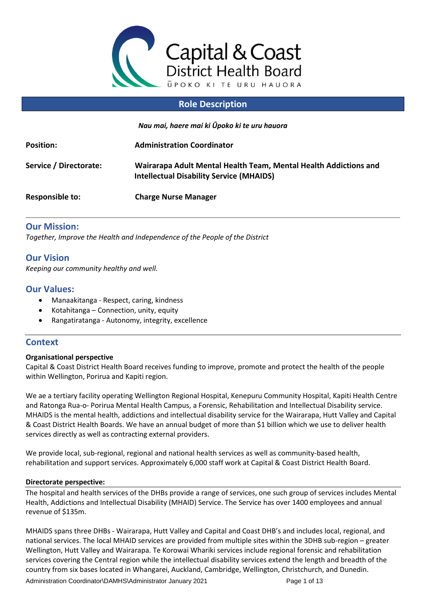

## **Role Description**

*Nau mai, haere mai ki Ūpoko ki te uru hauora*

| <b>Position:</b>       | <b>Administration Coordinator</b>                                                                                   |
|------------------------|---------------------------------------------------------------------------------------------------------------------|
| Service / Directorate: | Wairarapa Adult Mental Health Team, Mental Health Addictions and<br><b>Intellectual Disability Service (MHAIDS)</b> |
| Responsible to:        | <b>Charge Nurse Manager</b>                                                                                         |

### **Our Mission:**

*Together, Improve the Health and Independence of the People of the District*

# **Our Vision**

*Keeping our community healthy and well.*

### **Our Values:**

- Manaakitanga Respect, caring, kindness
- Kotahitanga Connection, unity, equity
- Rangatiratanga Autonomy, integrity, excellence

## **Context**

### **Organisational perspective**

Capital & Coast District Health Board receives funding to improve, promote and protect the health of the people within Wellington, Porirua and Kapiti region.

We ae a tertiary facility operating Wellington Regional Hospital, Kenepuru Community Hospital, Kapiti Health Centre and Ratonga Rua-o- Porirua Mental Health Campus, a Forensic, Rehabilitation and Intellectual Disability service. MHAIDS is the mental health, addictions and intellectual disability service for the Wairarapa, Hutt Valley and Capital & Coast District Health Boards. We have an annual budget of more than \$1 billion which we use to deliver health services directly as well as contracting external providers.

We provide local, sub-regional, regional and national health services as well as community-based health, rehabilitation and support services. Approximately 6,000 staff work at Capital & Coast District Health Board.

#### **Directorate perspective:**

The hospital and health services of the DHBs provide a range of services, one such group of services includes Mental Health, Addictions and Intellectual Disability (MHAID) Service. The Service has over 1400 employees and annual revenue of \$135m.

MHAIDS spans three DHBs - Wairarapa, Hutt Valley and Capital and Coast DHB's and includes local, regional, and national services. The local MHAID services are provided from multiple sites within the 3DHB sub-region – greater Wellington, Hutt Valley and Wairarapa. Te Korowai Whariki services include regional forensic and rehabilitation services covering the Central region while the intellectual disability services extend the length and breadth of the country from six bases located in Whangarei, Auckland, Cambridge, Wellington, Christchurch, and Dunedin.

Administration Coordinator\DAMHS\Administrator January 2021 Page 1 of 13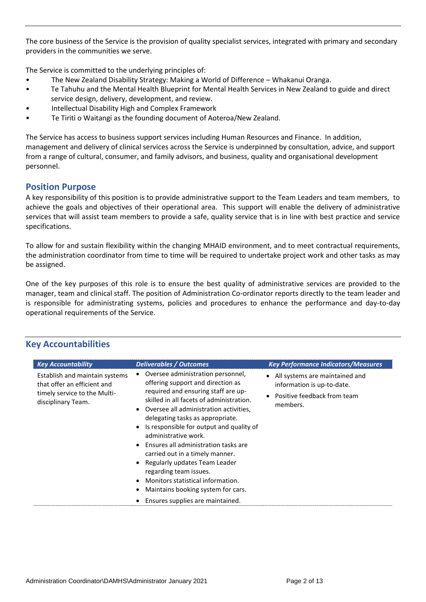The core business of the Service is the provision of quality specialist services, integrated with primary and secondary providers in the communities we serve.

The Service is committed to the underlying principles of:

- The New Zealand Disability Strategy: Making a World of Difference Whakanui Oranga.
- Te Tahuhu and the Mental Health Blueprint for Mental Health Services in New Zealand to guide and direct service design, delivery, development, and review.
- Intellectual Disability High and Complex Framework
- Te Tiriti o Waitangi as the founding document of Aoteroa/New Zealand.

The Service has access to business support services including Human Resources and Finance. In addition, management and delivery of clinical services across the Service is underpinned by consultation, advice, and support from a range of cultural, consumer, and family advisors, and business, quality and organisational development personnel.

### **Position Purpose**

A key responsibility of this position is to provide administrative support to the Team Leaders and team members, to achieve the goals and objectives of their operational area. This support will enable the delivery of administrative services that will assist team members to provide a safe, quality service that is in line with best practice and service specifications.

To allow for and sustain flexibility within the changing MHAID environment, and to meet contractual requirements, the administration coordinator from time to time will be required to undertake project work and other tasks as may be assigned.

One of the key purposes of this role is to ensure the best quality of administrative services are provided to the manager, team and clinical staff. The position of Administration Co-ordinator reports directly to the team leader and is responsible for administrating systems, policies and procedures to enhance the performance and day-to-day operational requirements of the Service.

| <b>Key Accountability</b>                                                                                           | <b>Deliverables / Outcomes</b>                                                                                                                                                                                                                                                                                                                                                                                                                                                                                                                                       | <b>Key Performance Indicators/Measures</b>                                                                |
|---------------------------------------------------------------------------------------------------------------------|----------------------------------------------------------------------------------------------------------------------------------------------------------------------------------------------------------------------------------------------------------------------------------------------------------------------------------------------------------------------------------------------------------------------------------------------------------------------------------------------------------------------------------------------------------------------|-----------------------------------------------------------------------------------------------------------|
| Establish and maintain systems<br>that offer an efficient and<br>timely service to the Multi-<br>disciplinary Team. | Oversee administration personnel,<br>offering support and direction as<br>required and ensuring staff are up-<br>skilled in all facets of administration.<br>• Oversee all administration activities,<br>delegating tasks as appropriate.<br>Is responsible for output and quality of<br>administrative work.<br>• Ensures all administration tasks are<br>carried out in a timely manner.<br>Regularly updates Team Leader<br>regarding team issues.<br>Monitors statistical information.<br>Maintains booking system for cars.<br>Ensures supplies are maintained. | • All systems are maintained and<br>information is up-to-date.<br>Positive feedback from team<br>members. |

### **Key Accountabilities**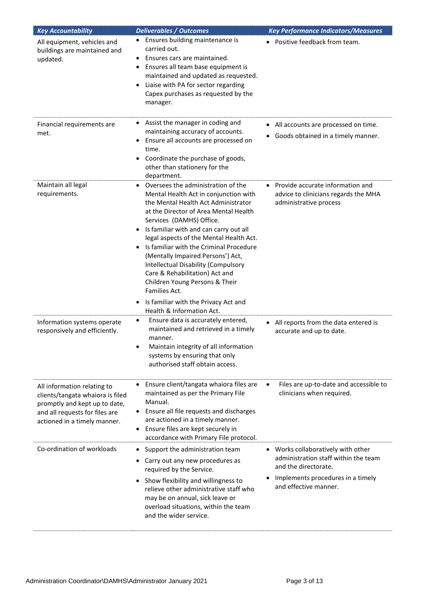| <b>Key Accountability</b>                                                                                                                                          | <b>Deliverables / Outcomes</b>                                                                                                                                                                                                                                                                                                                                                                                                                                                                                                                                                          | <b>Key Performance Indicators/Measures</b>                                                                                                                     |
|--------------------------------------------------------------------------------------------------------------------------------------------------------------------|-----------------------------------------------------------------------------------------------------------------------------------------------------------------------------------------------------------------------------------------------------------------------------------------------------------------------------------------------------------------------------------------------------------------------------------------------------------------------------------------------------------------------------------------------------------------------------------------|----------------------------------------------------------------------------------------------------------------------------------------------------------------|
| All equipment, vehicles and<br>buildings are maintained and<br>updated.                                                                                            | Ensures building maintenance is<br>carried out.<br>Ensures cars are maintained.<br>Ensures all team base equipment is<br>maintained and updated as requested.<br>Liaise with PA for sector regarding<br>$\bullet$<br>Capex purchases as requested by the<br>manager.                                                                                                                                                                                                                                                                                                                    | • Positive feedback from team.                                                                                                                                 |
| Financial requirements are<br>met.                                                                                                                                 | Assist the manager in coding and<br>٠<br>maintaining accuracy of accounts.<br>Ensure all accounts are processed on<br>time.<br>Coordinate the purchase of goods,<br>٠<br>other than stationery for the<br>department.                                                                                                                                                                                                                                                                                                                                                                   | • All accounts are processed on time.<br>• Goods obtained in a timely manner.                                                                                  |
| Maintain all legal<br>requirements.                                                                                                                                | Oversees the administration of the<br>Mental Health Act in conjunction with<br>the Mental Health Act Administrator<br>at the Director of Area Mental Health<br>Services (DAMHS) Office.<br>Is familiar with and can carry out all<br>$\bullet$<br>legal aspects of the Mental Health Act.<br>Is familiar with the Criminal Procedure<br>(Mentally Impaired Persons') Act,<br>Intellectual Disability (Compulsory<br>Care & Rehabilitation) Act and<br>Children Young Persons & Their<br>Families Act.<br>Is familiar with the Privacy Act and<br>$\bullet$<br>Health & Information Act. | Provide accurate information and<br>advice to clinicians regards the MHA<br>administrative process                                                             |
| Information systems operate<br>responsively and efficiently.                                                                                                       | Ensure data is accurately entered,<br>$\bullet$<br>maintained and retrieved in a timely<br>manner.<br>Maintain integrity of all information<br>systems by ensuring that only<br>authorised staff obtain access.                                                                                                                                                                                                                                                                                                                                                                         | All reports from the data entered is<br>accurate and up to date.                                                                                               |
| All information relating to<br>clients/tangata whaiora is filed<br>promptly and kept up to date,<br>and all requests for files are<br>actioned in a timely manner. | Ensure client/tangata whaiora files are<br>maintained as per the Primary File<br>Manual.<br>• Ensure all file requests and discharges<br>are actioned in a timely manner.<br>Ensure files are kept securely in<br>accordance with Primary File protocol.                                                                                                                                                                                                                                                                                                                                | Files are up-to-date and accessible to<br>clinicians when required.                                                                                            |
| Co-ordination of workloads                                                                                                                                         | Support the administration team<br>٠<br>Carry out any new procedures as<br>٠<br>required by the Service.<br>Show flexibility and willingness to<br>relieve other administrative staff who<br>may be on annual, sick leave or<br>overload situations, within the team<br>and the wider service.                                                                                                                                                                                                                                                                                          | Works collaboratively with other<br>administration staff within the team<br>and the directorate.<br>Implements procedures in a timely<br>and effective manner. |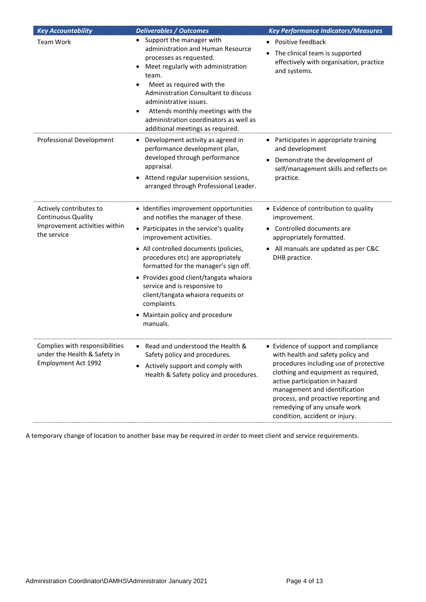| <b>Key Accountability</b>                                                                            | <b>Deliverables / Outcomes</b>                                                                                                                                                                                                                                                                                                                                                                                                                        | <b>Key Performance Indicators/Measures</b>                                                                                                                                                                                                                                                                                              |
|------------------------------------------------------------------------------------------------------|-------------------------------------------------------------------------------------------------------------------------------------------------------------------------------------------------------------------------------------------------------------------------------------------------------------------------------------------------------------------------------------------------------------------------------------------------------|-----------------------------------------------------------------------------------------------------------------------------------------------------------------------------------------------------------------------------------------------------------------------------------------------------------------------------------------|
| Team Work                                                                                            | Support the manager with<br>administration and Human Resource<br>processes as requested.<br>Meet regularly with administration<br>team.<br>Meet as required with the<br>٠<br>Administration Consultant to discuss<br>administrative issues.<br>Attends monthly meetings with the<br>$\bullet$<br>administration coordinators as well as<br>additional meetings as required.                                                                           | Positive feedback<br>The clinical team is supported<br>$\bullet$<br>effectively with organisation, practice<br>and systems.                                                                                                                                                                                                             |
| Professional Development                                                                             | Development activity as agreed in<br>٠<br>performance development plan,<br>developed through performance<br>appraisal.<br>Attend regular supervision sessions,<br>arranged through Professional Leader.                                                                                                                                                                                                                                               | Participates in appropriate training<br>$\bullet$<br>and development<br>Demonstrate the development of<br>self/management skills and reflects on<br>practice.                                                                                                                                                                           |
| Actively contributes to<br><b>Continuous Quality</b><br>Improvement activities within<br>the service | • Identifies improvement opportunities<br>and notifies the manager of these.<br>• Participates in the service's quality<br>improvement activities.<br>• All controlled documents (policies,<br>procedures etc) are appropriately<br>formatted for the manager's sign off.<br>• Provides good client/tangata whaiora<br>service and is responsive to<br>client/tangata whaiora requests or<br>complaints.<br>Maintain policy and procedure<br>manuals. | • Evidence of contribution to quality<br>improvement.<br>• Controlled documents are<br>appropriately formatted.<br>• All manuals are updated as per C&C<br>DHB practice.                                                                                                                                                                |
| Complies with responsibilities<br>under the Health & Safety in<br>Employment Act 1992                | Read and understood the Health &<br>Safety policy and procedures.<br>Actively support and comply with<br>Health & Safety policy and procedures.                                                                                                                                                                                                                                                                                                       | • Evidence of support and compliance<br>with health and safety policy and<br>procedures including use of protective<br>clothing and equipment as required,<br>active participation in hazard<br>management and identification<br>process, and proactive reporting and<br>remedying of any unsafe work<br>condition, accident or injury. |

A temporary change of location to another base may be required in order to meet client and service requirements.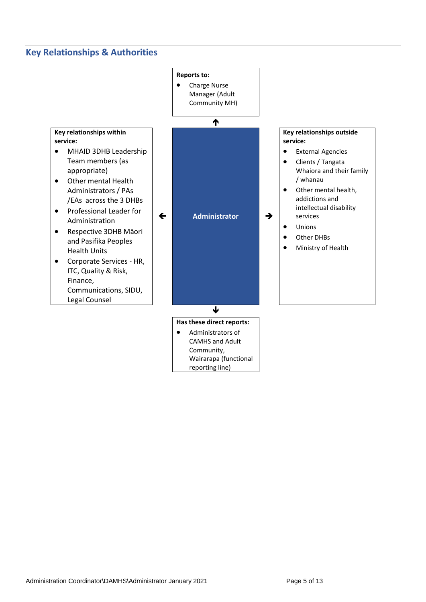# **Key Relationships & Authorities**

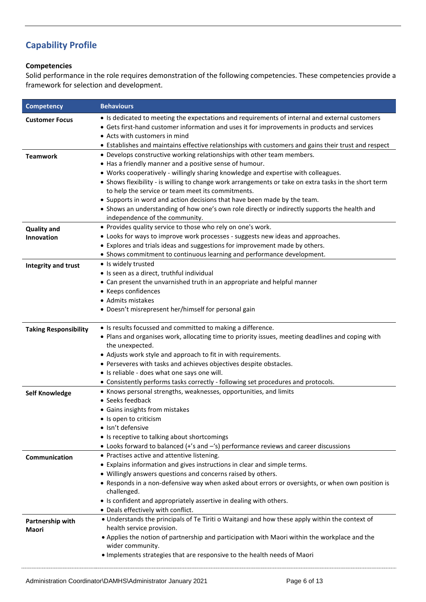# **Capability Profile**

#### **Competencies**

Solid performance in the role requires demonstration of the following competencies. These competencies provide a framework for selection and development.

| <b>Competency</b>                | <b>Behaviours</b>                                                                                                                                                                                                                                                                                                                                                                                                                                                                                                                                                                                    |
|----------------------------------|------------------------------------------------------------------------------------------------------------------------------------------------------------------------------------------------------------------------------------------------------------------------------------------------------------------------------------------------------------------------------------------------------------------------------------------------------------------------------------------------------------------------------------------------------------------------------------------------------|
| <b>Customer Focus</b>            | • Is dedicated to meeting the expectations and requirements of internal and external customers<br>• Gets first-hand customer information and uses it for improvements in products and services<br>• Acts with customers in mind<br>• Establishes and maintains effective relationships with customers and gains their trust and respect                                                                                                                                                                                                                                                              |
| <b>Teamwork</b>                  | • Develops constructive working relationships with other team members.<br>• Has a friendly manner and a positive sense of humour.<br>• Works cooperatively - willingly sharing knowledge and expertise with colleagues.<br>• Shows flexibility - is willing to change work arrangements or take on extra tasks in the short term<br>to help the service or team meet its commitments.<br>• Supports in word and action decisions that have been made by the team.<br>• Shows an understanding of how one's own role directly or indirectly supports the health and<br>independence of the community. |
| <b>Quality and</b><br>Innovation | • Provides quality service to those who rely on one's work.<br>• Looks for ways to improve work processes - suggests new ideas and approaches.<br>• Explores and trials ideas and suggestions for improvement made by others.<br>• Shows commitment to continuous learning and performance development.                                                                                                                                                                                                                                                                                              |
| <b>Integrity and trust</b>       | · Is widely trusted<br>· Is seen as a direct, truthful individual<br>• Can present the unvarnished truth in an appropriate and helpful manner<br>• Keeps confidences<br>• Admits mistakes<br>• Doesn't misrepresent her/himself for personal gain                                                                                                                                                                                                                                                                                                                                                    |
| <b>Taking Responsibility</b>     | • Is results focussed and committed to making a difference.<br>. Plans and organises work, allocating time to priority issues, meeting deadlines and coping with<br>the unexpected.<br>• Adjusts work style and approach to fit in with requirements.<br>• Perseveres with tasks and achieves objectives despite obstacles.<br>• Is reliable - does what one says one will.<br>• Consistently performs tasks correctly - following set procedures and protocols.                                                                                                                                     |
| <b>Self Knowledge</b>            | • Knows personal strengths, weaknesses, opportunities, and limits<br>• Seeks feedback<br>• Gains insights from mistakes<br>• Is open to criticism<br>· Isn't defensive<br>• Is receptive to talking about shortcomings<br>• Looks forward to balanced (+'s and -'s) performance reviews and career discussions                                                                                                                                                                                                                                                                                       |
| Communication                    | • Practises active and attentive listening.<br>• Explains information and gives instructions in clear and simple terms.<br>• Willingly answers questions and concerns raised by others.<br>• Responds in a non-defensive way when asked about errors or oversights, or when own position is<br>challenged.<br>• Is confident and appropriately assertive in dealing with others.<br>• Deals effectively with conflict.                                                                                                                                                                               |
| Partnership with<br>Maori        | . Understands the principals of Te Tiriti o Waitangi and how these apply within the context of<br>health service provision.<br>. Applies the notion of partnership and participation with Maori within the workplace and the<br>wider community.<br>. Implements strategies that are responsive to the health needs of Maori                                                                                                                                                                                                                                                                         |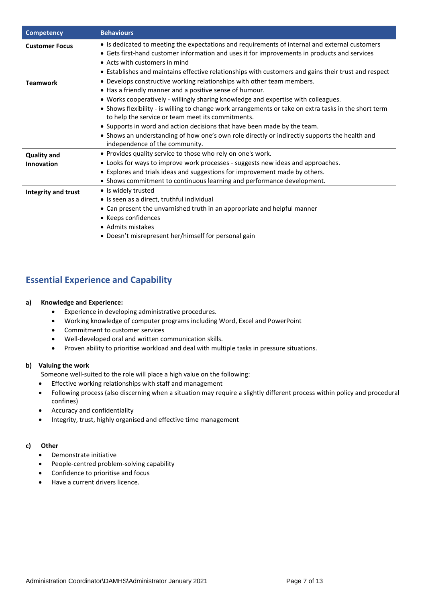| <b>Competency</b>                       | <b>Behaviours</b>                                                                                                                                                                                                                                                                                                                                                                                                                                                                                                                                                                                    |
|-----------------------------------------|------------------------------------------------------------------------------------------------------------------------------------------------------------------------------------------------------------------------------------------------------------------------------------------------------------------------------------------------------------------------------------------------------------------------------------------------------------------------------------------------------------------------------------------------------------------------------------------------------|
| <b>Customer Focus</b>                   | • Is dedicated to meeting the expectations and requirements of internal and external customers<br>• Gets first-hand customer information and uses it for improvements in products and services<br>• Acts with customers in mind<br>• Establishes and maintains effective relationships with customers and gains their trust and respect                                                                                                                                                                                                                                                              |
| <b>Teamwork</b>                         | • Develops constructive working relationships with other team members.<br>• Has a friendly manner and a positive sense of humour.<br>• Works cooperatively - willingly sharing knowledge and expertise with colleagues.<br>• Shows flexibility - is willing to change work arrangements or take on extra tasks in the short term<br>to help the service or team meet its commitments.<br>• Supports in word and action decisions that have been made by the team.<br>• Shows an understanding of how one's own role directly or indirectly supports the health and<br>independence of the community. |
| <b>Quality and</b><br><b>Innovation</b> | • Provides quality service to those who rely on one's work.<br>• Looks for ways to improve work processes - suggests new ideas and approaches.<br>• Explores and trials ideas and suggestions for improvement made by others.<br>• Shows commitment to continuous learning and performance development.                                                                                                                                                                                                                                                                                              |
| Integrity and trust                     | • Is widely trusted<br>• Is seen as a direct, truthful individual<br>• Can present the unvarnished truth in an appropriate and helpful manner<br>• Keeps confidences<br>• Admits mistakes<br>• Doesn't misrepresent her/himself for personal gain                                                                                                                                                                                                                                                                                                                                                    |

# **Essential Experience and Capability**

#### **a) Knowledge and Experience:**

- Experience in developing administrative procedures.
- Working knowledge of computer programs including Word, Excel and PowerPoint
- Commitment to customer services
- Well-developed oral and written communication skills.
- Proven ability to prioritise workload and deal with multiple tasks in pressure situations.

#### **b) Valuing the work**

Someone well-suited to the role will place a high value on the following:

- Effective working relationships with staff and management
- Following process (also discerning when a situation may require a slightly different process within policy and procedural confines)
- Accuracy and confidentiality
- Integrity, trust, highly organised and effective time management

#### **c) Other**

- Demonstrate initiative
- People-centred problem-solving capability
- Confidence to prioritise and focus
- Have a current drivers licence.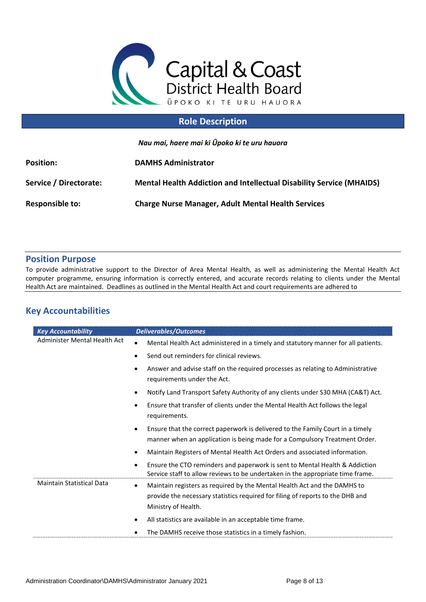

## **Role Description**

*Nau mai, haere mai ki Ūpoko ki te uru hauora*

| <b>Position:</b>       | <b>DAMHS Administrator</b>                                                  |
|------------------------|-----------------------------------------------------------------------------|
| Service / Directorate: | <b>Mental Health Addiction and Intellectual Disability Service (MHAIDS)</b> |
| <b>Responsible to:</b> | <b>Charge Nurse Manager, Adult Mental Health Services</b>                   |

### **Position Purpose**

To provide administrative support to the Director of Area Mental Health, as well as administering the Mental Health Act computer programme, ensuring information is correctly entered, and accurate records relating to clients under the Mental Health Act are maintained. Deadlines as outlined in the Mental Health Act and court requirements are adhered to

# **Key Accountabilities**

| <b>Key Accountability</b>        | <b>Deliverables/Outcomes</b>                                                                                                                                                                                                                                             |
|----------------------------------|--------------------------------------------------------------------------------------------------------------------------------------------------------------------------------------------------------------------------------------------------------------------------|
| Administer Mental Health Act     | Mental Health Act administered in a timely and statutory manner for all patients.                                                                                                                                                                                        |
|                                  | Send out reminders for clinical reviews.                                                                                                                                                                                                                                 |
|                                  | Answer and advise staff on the required processes as relating to Administrative<br>requirements under the Act.                                                                                                                                                           |
|                                  | Notify Land Transport Safety Authority of any clients under S30 MHA (CA&T) Act.                                                                                                                                                                                          |
|                                  | Ensure that transfer of clients under the Mental Health Act follows the legal<br>requirements.                                                                                                                                                                           |
|                                  | Ensure that the correct paperwork is delivered to the Family Court in a timely<br>$\bullet$<br>manner when an application is being made for a Compulsory Treatment Order.                                                                                                |
|                                  | Maintain Registers of Mental Health Act Orders and associated information.<br>$\bullet$                                                                                                                                                                                  |
|                                  | Ensure the CTO reminders and paperwork is sent to Mental Health & Addiction<br>Service staff to allow reviews to be undertaken in the appropriate time frame.                                                                                                            |
| <b>Maintain Statistical Data</b> | Maintain registers as required by the Mental Health Act and the DAMHS to<br>$\bullet$<br>provide the necessary statistics required for filing of reports to the DHB and<br>Ministry of Health.<br>All statistics are available in an acceptable time frame.<br>$\bullet$ |
|                                  | The DAMHS receive those statistics in a timely fashion.                                                                                                                                                                                                                  |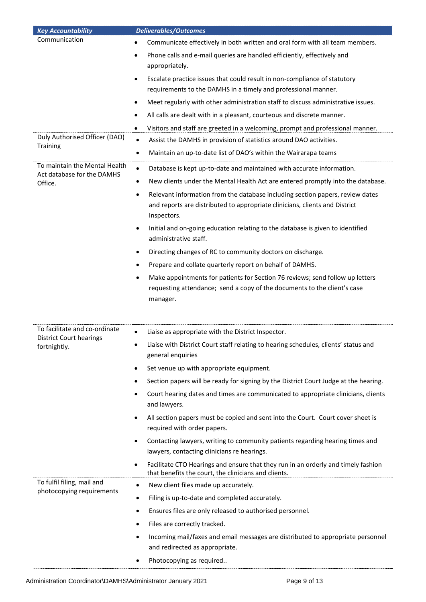| <b>Key Accountability</b>                               | <b>Deliverables/Outcomes</b>                                                                                                                                                             |
|---------------------------------------------------------|------------------------------------------------------------------------------------------------------------------------------------------------------------------------------------------|
| Communication                                           | Communicate effectively in both written and oral form with all team members.                                                                                                             |
|                                                         | Phone calls and e-mail queries are handled efficiently, effectively and<br>$\bullet$<br>appropriately.                                                                                   |
|                                                         | Escalate practice issues that could result in non-compliance of statutory<br>$\bullet$<br>requirements to the DAMHS in a timely and professional manner.                                 |
|                                                         | Meet regularly with other administration staff to discuss administrative issues.<br>$\bullet$                                                                                            |
|                                                         | All calls are dealt with in a pleasant, courteous and discrete manner.<br>٠                                                                                                              |
|                                                         | Visitors and staff are greeted in a welcoming, prompt and professional manner.<br>$\bullet$                                                                                              |
| Duly Authorised Officer (DAO)                           | Assist the DAMHS in provision of statistics around DAO activities.<br>$\bullet$                                                                                                          |
| <b>Training</b>                                         | Maintain an up-to-date list of DAO's within the Wairarapa teams<br>$\bullet$                                                                                                             |
| To maintain the Mental Health                           | Database is kept up-to-date and maintained with accurate information.<br>$\bullet$                                                                                                       |
| Act database for the DAMHS<br>Office.                   | New clients under the Mental Health Act are entered promptly into the database.<br>٠                                                                                                     |
|                                                         | Relevant information from the database including section papers, review dates<br>$\bullet$<br>and reports are distributed to appropriate clinicians, clients and District<br>Inspectors. |
|                                                         | Initial and on-going education relating to the database is given to identified<br>$\bullet$<br>administrative staff.                                                                     |
|                                                         | Directing changes of RC to community doctors on discharge.<br>٠                                                                                                                          |
|                                                         | Prepare and collate quarterly report on behalf of DAMHS.                                                                                                                                 |
|                                                         | Make appointments for patients for Section 76 reviews; send follow up letters<br>$\bullet$<br>requesting attendance; send a copy of the documents to the client's case<br>manager.       |
| To facilitate and co-ordinate                           |                                                                                                                                                                                          |
| <b>District Court hearings</b>                          | Liaise as appropriate with the District Inspector.<br>$\bullet$                                                                                                                          |
| fortnightly.                                            | Liaise with District Court staff relating to hearing schedules, clients' status and<br>general enquiries                                                                                 |
|                                                         | Set venue up with appropriate equipment.<br>$\bullet$                                                                                                                                    |
|                                                         | Section papers will be ready for signing by the District Court Judge at the hearing.<br>$\bullet$                                                                                        |
|                                                         | Court hearing dates and times are communicated to appropriate clinicians, clients<br>$\bullet$<br>and lawyers.                                                                           |
|                                                         | All section papers must be copied and sent into the Court. Court cover sheet is<br>$\bullet$<br>required with order papers.                                                              |
|                                                         | Contacting lawyers, writing to community patients regarding hearing times and<br>$\bullet$                                                                                               |
|                                                         | lawyers, contacting clinicians re hearings.                                                                                                                                              |
|                                                         | Facilitate CTO Hearings and ensure that they run in an orderly and timely fashion<br>$\bullet$<br>that benefits the court, the clinicians and clients.                                   |
| To fulfil filing, mail and<br>photocopying requirements | New client files made up accurately.<br>$\bullet$                                                                                                                                        |
|                                                         | Filing is up-to-date and completed accurately.<br>$\bullet$                                                                                                                              |
|                                                         | Ensures files are only released to authorised personnel.<br>$\bullet$                                                                                                                    |
|                                                         | Files are correctly tracked.<br>$\bullet$                                                                                                                                                |
|                                                         | Incoming mail/faxes and email messages are distributed to appropriate personnel<br>$\bullet$<br>and redirected as appropriate.                                                           |
|                                                         | Photocopying as required<br>$\bullet$                                                                                                                                                    |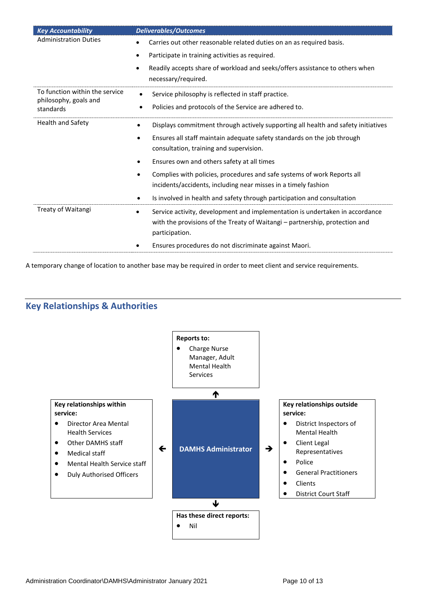| <b>Key Accountability</b>          | <b>Deliverables/Outcomes</b>                                                                                                                                                               |
|------------------------------------|--------------------------------------------------------------------------------------------------------------------------------------------------------------------------------------------|
| <b>Administration Duties</b>       | Carries out other reasonable related duties on an as required basis.                                                                                                                       |
|                                    | Participate in training activities as required.                                                                                                                                            |
|                                    | Readily accepts share of workload and seeks/offers assistance to others when<br>necessary/required.                                                                                        |
| To function within the service     | Service philosophy is reflected in staff practice.<br>$\bullet$                                                                                                                            |
| philosophy, goals and<br>standards | Policies and protocols of the Service are adhered to.<br>$\bullet$                                                                                                                         |
| Health and Safety                  | Displays commitment through actively supporting all health and safety initiatives<br>$\bullet$                                                                                             |
|                                    | Ensures all staff maintain adequate safety standards on the job through<br>٠<br>consultation, training and supervision.                                                                    |
|                                    | Ensures own and others safety at all times                                                                                                                                                 |
|                                    | Complies with policies, procedures and safe systems of work Reports all<br>٠<br>incidents/accidents, including near misses in a timely fashion                                             |
|                                    | Is involved in health and safety through participation and consultation<br>٠                                                                                                               |
| Treaty of Waitangi                 | Service activity, development and implementation is undertaken in accordance<br>$\bullet$<br>with the provisions of the Treaty of Waitangi - partnership, protection and<br>participation. |
|                                    | Ensures procedures do not discriminate against Maori.                                                                                                                                      |

A temporary change of location to another base may be required in order to meet client and service requirements.

# **Key Relationships & Authorities**

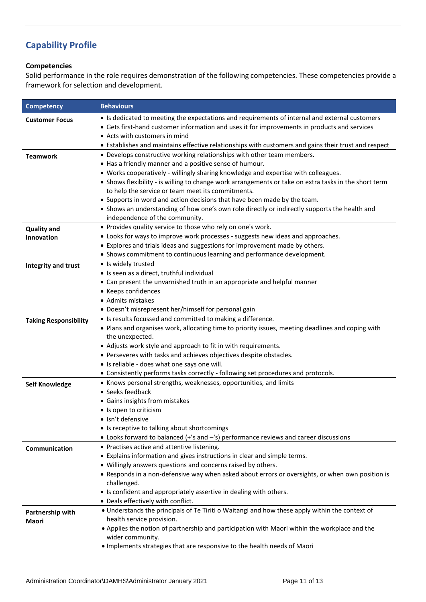# **Capability Profile**

#### **Competencies**

Solid performance in the role requires demonstration of the following competencies. These competencies provide a framework for selection and development.

| <b>Competency</b>                | <b>Behaviours</b>                                                                                                                                                                                                                                                                                                                                                                                                                                                                                                                                                                                    |
|----------------------------------|------------------------------------------------------------------------------------------------------------------------------------------------------------------------------------------------------------------------------------------------------------------------------------------------------------------------------------------------------------------------------------------------------------------------------------------------------------------------------------------------------------------------------------------------------------------------------------------------------|
| <b>Customer Focus</b>            | • Is dedicated to meeting the expectations and requirements of internal and external customers<br>• Gets first-hand customer information and uses it for improvements in products and services<br>• Acts with customers in mind<br>• Establishes and maintains effective relationships with customers and gains their trust and respect                                                                                                                                                                                                                                                              |
| <b>Teamwork</b>                  | • Develops constructive working relationships with other team members.<br>• Has a friendly manner and a positive sense of humour.<br>• Works cooperatively - willingly sharing knowledge and expertise with colleagues.<br>• Shows flexibility - is willing to change work arrangements or take on extra tasks in the short term<br>to help the service or team meet its commitments.<br>• Supports in word and action decisions that have been made by the team.<br>• Shows an understanding of how one's own role directly or indirectly supports the health and<br>independence of the community. |
| <b>Quality and</b><br>Innovation | • Provides quality service to those who rely on one's work.<br>• Looks for ways to improve work processes - suggests new ideas and approaches.<br>• Explores and trials ideas and suggestions for improvement made by others.<br>• Shows commitment to continuous learning and performance development.                                                                                                                                                                                                                                                                                              |
| Integrity and trust              | · Is widely trusted<br>· Is seen as a direct, truthful individual<br>• Can present the unvarnished truth in an appropriate and helpful manner<br>• Keeps confidences<br>• Admits mistakes<br>• Doesn't misrepresent her/himself for personal gain                                                                                                                                                                                                                                                                                                                                                    |
| <b>Taking Responsibility</b>     | • Is results focussed and committed to making a difference.<br>. Plans and organises work, allocating time to priority issues, meeting deadlines and coping with<br>the unexpected.<br>• Adjusts work style and approach to fit in with requirements.<br>• Perseveres with tasks and achieves objectives despite obstacles.<br>• Is reliable - does what one says one will.<br>• Consistently performs tasks correctly - following set procedures and protocols.                                                                                                                                     |
| <b>Self Knowledge</b>            | • Knows personal strengths, weaknesses, opportunities, and limits<br>• Seeks feedback<br>• Gains insights from mistakes<br>• Is open to criticism<br>· Isn't defensive<br>• Is receptive to talking about shortcomings<br>• Looks forward to balanced (+'s and -'s) performance reviews and career discussions                                                                                                                                                                                                                                                                                       |
| Communication                    | • Practises active and attentive listening.<br>• Explains information and gives instructions in clear and simple terms.<br>• Willingly answers questions and concerns raised by others.<br>• Responds in a non-defensive way when asked about errors or oversights, or when own position is<br>challenged.<br>• Is confident and appropriately assertive in dealing with others.<br>• Deals effectively with conflict.                                                                                                                                                                               |
| Partnership with<br>Maori        | • Understands the principals of Te Tiriti o Waitangi and how these apply within the context of<br>health service provision.<br>• Applies the notion of partnership and participation with Maori within the workplace and the<br>wider community.<br>. Implements strategies that are responsive to the health needs of Maori                                                                                                                                                                                                                                                                         |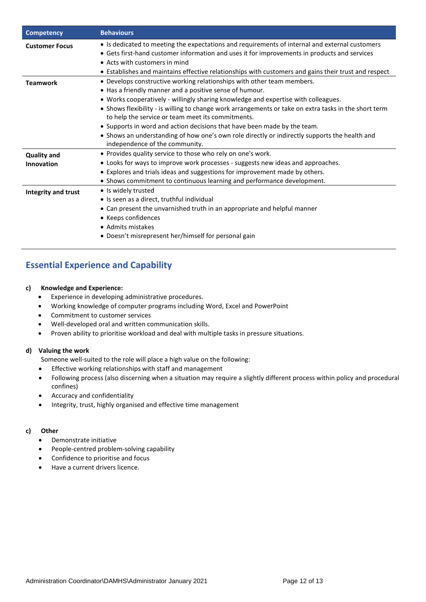| <b>Competency</b>                | <b>Behaviours</b>                                                                                                                                                                                                                                                                                                                                                                                                                                                                                                                                                                                    |
|----------------------------------|------------------------------------------------------------------------------------------------------------------------------------------------------------------------------------------------------------------------------------------------------------------------------------------------------------------------------------------------------------------------------------------------------------------------------------------------------------------------------------------------------------------------------------------------------------------------------------------------------|
| <b>Customer Focus</b>            | • Is dedicated to meeting the expectations and requirements of internal and external customers<br>• Gets first-hand customer information and uses it for improvements in products and services<br>• Acts with customers in mind<br>• Establishes and maintains effective relationships with customers and gains their trust and respect                                                                                                                                                                                                                                                              |
| <b>Teamwork</b>                  | • Develops constructive working relationships with other team members.<br>. Has a friendly manner and a positive sense of humour.<br>• Works cooperatively - willingly sharing knowledge and expertise with colleagues.<br>• Shows flexibility - is willing to change work arrangements or take on extra tasks in the short term<br>to help the service or team meet its commitments.<br>• Supports in word and action decisions that have been made by the team.<br>• Shows an understanding of how one's own role directly or indirectly supports the health and<br>independence of the community. |
| <b>Quality and</b><br>Innovation | • Provides quality service to those who rely on one's work.<br>• Looks for ways to improve work processes - suggests new ideas and approaches.<br>• Explores and trials ideas and suggestions for improvement made by others.<br>• Shows commitment to continuous learning and performance development.                                                                                                                                                                                                                                                                                              |
| Integrity and trust              | • Is widely trusted<br>• Is seen as a direct, truthful individual<br>• Can present the unvarnished truth in an appropriate and helpful manner<br>• Keeps confidences<br>• Admits mistakes<br>• Doesn't misrepresent her/himself for personal gain                                                                                                                                                                                                                                                                                                                                                    |

# **Essential Experience and Capability**

#### **c) Knowledge and Experience:**

- Experience in developing administrative procedures.
- Working knowledge of computer programs including Word, Excel and PowerPoint
- Commitment to customer services
- Well-developed oral and written communication skills.
- Proven ability to prioritise workload and deal with multiple tasks in pressure situations.

#### **d) Valuing the work**

Someone well-suited to the role will place a high value on the following:

- Effective working relationships with staff and management
- Following process (also discerning when a situation may require a slightly different process within policy and procedural confines)
- Accuracy and confidentiality
- Integrity, trust, highly organised and effective time management

#### **c) Other**

- Demonstrate initiative
- People-centred problem-solving capability
- Confidence to prioritise and focus
- Have a current drivers licence.